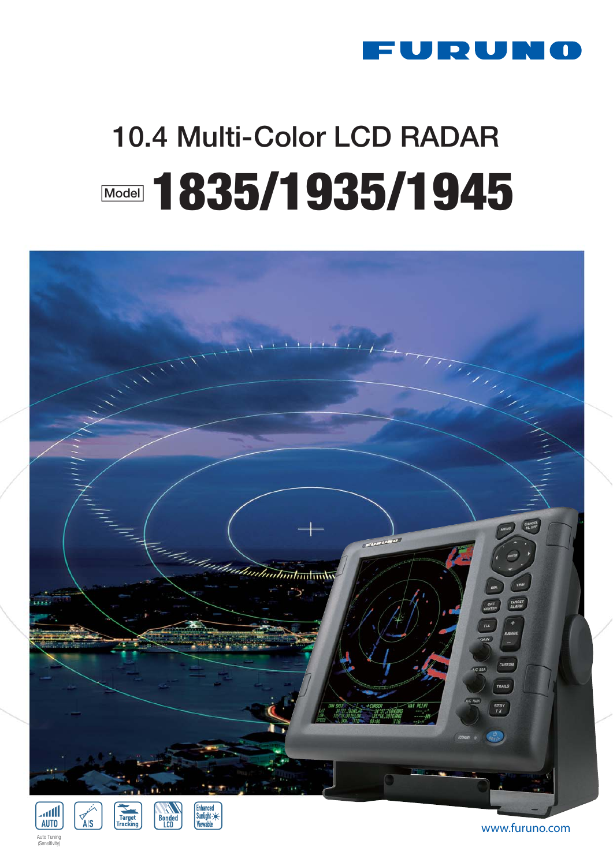

# **10.4 Multi-Color LCD RADAR Model 1835/1935/1945**



**www.furuno.com**

Auto Tuning  $\sim$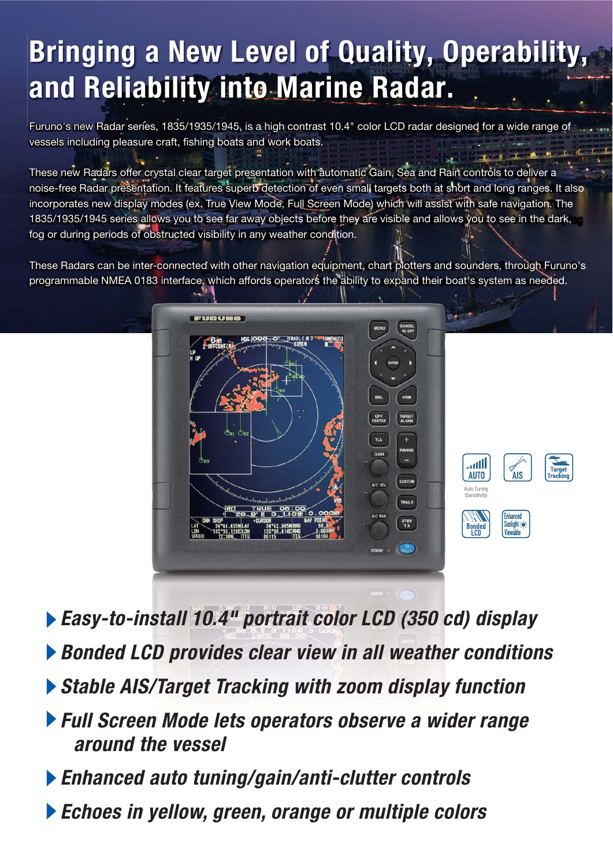## **Bringing a New Level of Quality, Operability, and Reliability into Marine Radar.**

Furuno's new Radar series, 1835/1935/1945, is a high contrast 10.4" color LCD radar designed for a wide range of vessels including pleasure craft, fishing boats and work boats.

These new Radars offer crystal clear target presentation with automatic Gain, Sea and Rain controls to deliver a noise-free Radar presentation. It features superb detection of even small targets both at short and long ranges. It also incorporates new display modes (ex. True View Mode, Full Screen Mode) which will assist with safe navigation. The 1835/1935/1945 series allows you to see far away objects before they are visible and allows you to see in the dark, fog or during periods of obstructed visibility in any weather condition.

These Radars can be inter-connected with other navigation equipment, chart plotters and sounders, through Furuno's programmable NMEA 0183 interface, which affords operators the ability to expand their boat's system as needed.



- *Easy-to-install 10.4" portrait color LCD (350 cd) display*
- *Bonded LCD provides clear view in all weather conditions*
- *Stable AIS/Target Tracking with zoom display function*
- *Full Screen Mode lets operators observe a wider range around the vessel*
- *Enhanced auto tuning/gain/anti-clutter controls*
- *Echoes in yellow, green, orange or multiple colors*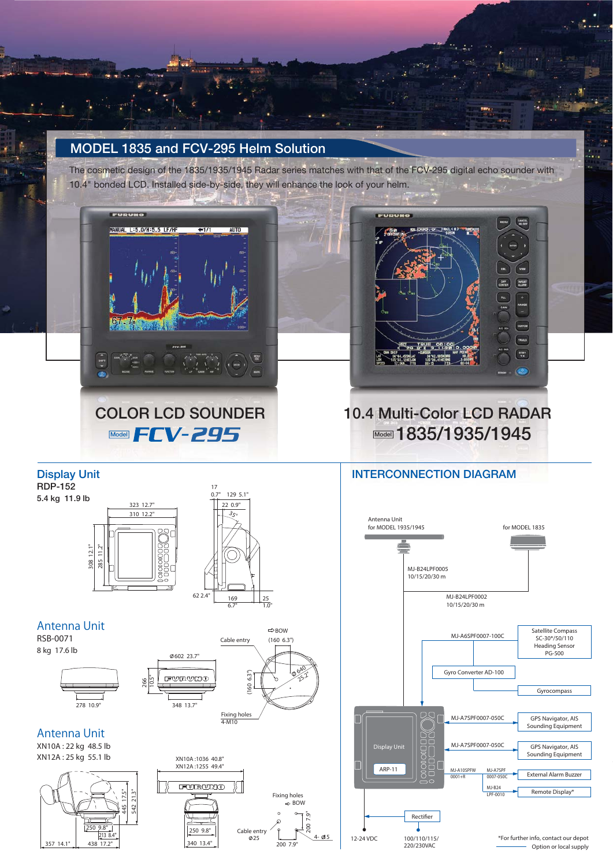## **MODEL 1835 and FCV-295 Helm Solution**

The cosmetic design of the 1835/1935/1945 Radar series matches with that of the FCV-295 digital echo sounder with 10.4" bonded LCD. Installed side-by-side, they will enhance the look of your helm.



**Display Unit** 



## **COLOR LCD SOUNDER 10.4 Multi-Color LCD RADAR Model Model 1835/1935/1945**

### **INTERCONNECTION DIAGRAM**

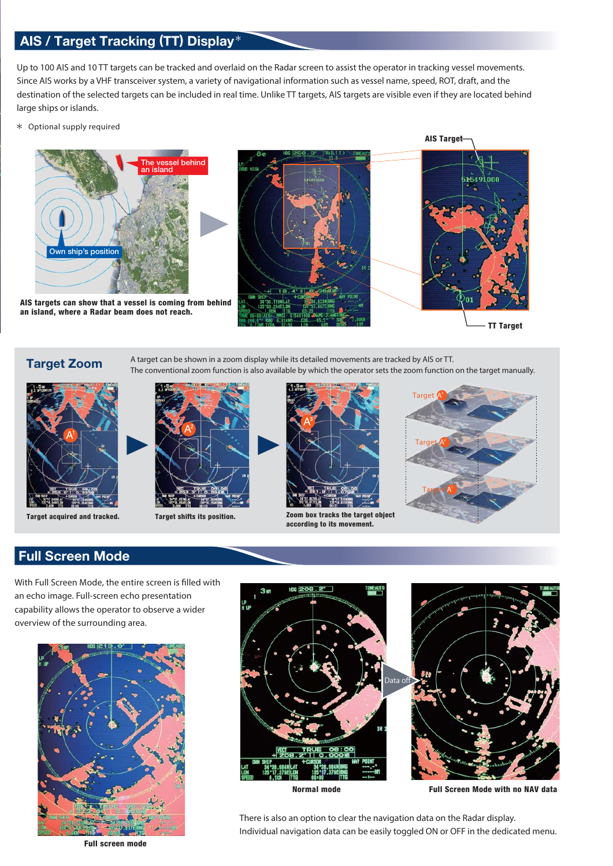### **AIS / Target Tracking (TT) Display**

Up to 100 AIS and 10 TT targets can be tracked and overlaid on the Radar screen to assist the operator in tracking vessel movements. Since AIS works by a VHF transceiver system, a variety of navigational information such as vessel name, speed, ROT, draft, and the destination of the selected targets can be included in real time. Unlike TT targets, AIS targets are visible even if they are located behind large ships or islands.

Optional supply required



**AIS targets can show that a vessel is coming from behind an island, where a Radar beam does not reach.**



## **Target Zoom** A target can be shown in a zoom display while its detailed movements are tracked by AIS or TT.





**Target acquired and tracked. Target shifts its position. Zoom box tracks the target object according to its movement.**



#### **Full Screen Mode**

With Full Screen Mode, the entire screen is filled with an echo image. Full-screen echo presentation capability allows the operator to observe a wider overview of the surrounding area.







**Normal mode Full Screen Mode with no NAV data**

There is also an option to clear the navigation data on the Radar display. Individual navigation data can be easily toggled ON or OFF in the dedicated menu.

**Full screen mode**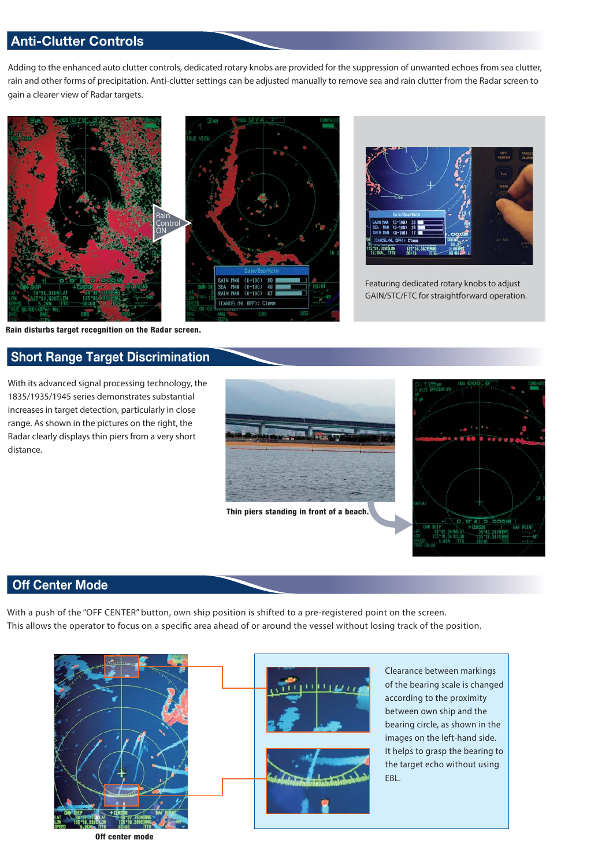#### **Anti-Clutter Controls**

Adding to the enhanced auto clutter controls, dedicated rotary knobs are provided for the suppression of unwanted echoes from sea clutter, rain and other forms of precipitation. Anti-clutter settings can be adjusted manually to remove sea and rain clutter from the Radar screen to gain a clearer view of Radar targets.





Featuring dedicated rotary knobs to adjust GAIN/STC/FTC for straightforward operation.

**Rain disturbs target recognition on the Radar screen.**

#### **Short Range Target Discrimination**

With its advanced signal processing technology, the 1835/1935/1945 series demonstrates substantial increases in target detection, particularly in close range. As shown in the pictures on the right, the Radar clearly displays thin piers from a very short distance.





#### **Off Center Mode**

With a push of the "OFF CENTER" button, own ship position is shifted to a pre-registered point on the screen. This allows the operator to focus on a specific area ahead of or around the vessel without losing track of the position.





Clearance between markings of the bearing scale is changed according to the proximity between own ship and the bearing circle, as shown in the images on the left-hand side. It helps to grasp the bearing to the target echo without using EBL.